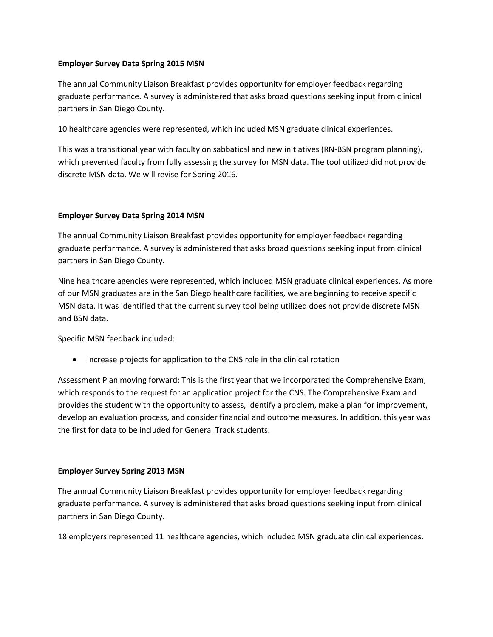### **Employer Survey Data Spring 2015 MSN**

The annual Community Liaison Breakfast provides opportunity for employer feedback regarding graduate performance. A survey is administered that asks broad questions seeking input from clinical partners in San Diego County.

10 healthcare agencies were represented, which included MSN graduate clinical experiences.

This was a transitional year with faculty on sabbatical and new initiatives (RN-BSN program planning), which prevented faculty from fully assessing the survey for MSN data. The tool utilized did not provide discrete MSN data. We will revise for Spring 2016.

## **Employer Survey Data Spring 2014 MSN**

The annual Community Liaison Breakfast provides opportunity for employer feedback regarding graduate performance. A survey is administered that asks broad questions seeking input from clinical partners in San Diego County.

Nine healthcare agencies were represented, which included MSN graduate clinical experiences. As more of our MSN graduates are in the San Diego healthcare facilities, we are beginning to receive specific MSN data. It was identified that the current survey tool being utilized does not provide discrete MSN and BSN data.

Specific MSN feedback included:

• Increase projects for application to the CNS role in the clinical rotation

Assessment Plan moving forward: This is the first year that we incorporated the Comprehensive Exam, which responds to the request for an application project for the CNS. The Comprehensive Exam and provides the student with the opportunity to assess, identify a problem, make a plan for improvement, develop an evaluation process, and consider financial and outcome measures. In addition, this year was the first for data to be included for General Track students.

# **Employer Survey Spring 2013 MSN**

The annual Community Liaison Breakfast provides opportunity for employer feedback regarding graduate performance. A survey is administered that asks broad questions seeking input from clinical partners in San Diego County.

18 employers represented 11 healthcare agencies, which included MSN graduate clinical experiences.